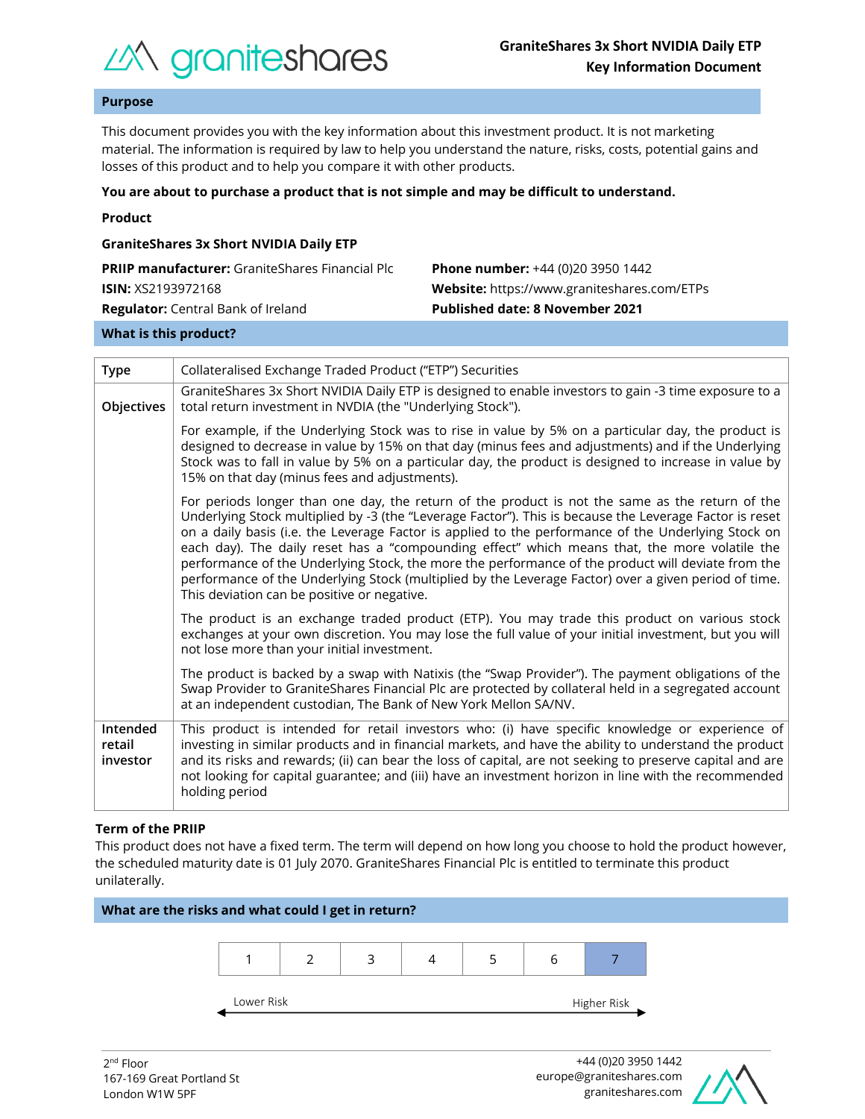

# **Purpose**

This document provides you with the key information about this investment product. It is not marketing material. The information is required by law to help you understand the nature, risks, costs, potential gains and losses of this product and to help you compare it with other products.

#### **You are about to purchase a product that is not simple and may be difficult to understand.**

|  | Product |  |
|--|---------|--|
|  |         |  |

| <b>GraniteShares 3x Short NVIDIA Daily ETP</b>         |                                             |  |  |  |  |
|--------------------------------------------------------|---------------------------------------------|--|--|--|--|
| <b>PRIIP manufacturer:</b> GraniteShares Financial Plc | <b>Phone number:</b> +44 (0)20 3950 1442    |  |  |  |  |
| <b>ISIN:</b> XS2193972168                              | Website: https://www.graniteshares.com/ETPs |  |  |  |  |
| <b>Regulator:</b> Central Bank of Ireland              | <b>Published date: 8 November 2021</b>      |  |  |  |  |
|                                                        |                                             |  |  |  |  |

# **What is this product?**

| <b>Type</b>                    | Collateralised Exchange Traded Product ("ETP") Securities                                                                                                                                                                                                                                                                                                                                                                                                                                                                                                                                                                                                                       |  |  |  |
|--------------------------------|---------------------------------------------------------------------------------------------------------------------------------------------------------------------------------------------------------------------------------------------------------------------------------------------------------------------------------------------------------------------------------------------------------------------------------------------------------------------------------------------------------------------------------------------------------------------------------------------------------------------------------------------------------------------------------|--|--|--|
| Objectives                     | GraniteShares 3x Short NVIDIA Daily ETP is designed to enable investors to gain -3 time exposure to a<br>total return investment in NVDIA (the "Underlying Stock").                                                                                                                                                                                                                                                                                                                                                                                                                                                                                                             |  |  |  |
|                                | For example, if the Underlying Stock was to rise in value by 5% on a particular day, the product is<br>designed to decrease in value by 15% on that day (minus fees and adjustments) and if the Underlying<br>Stock was to fall in value by 5% on a particular day, the product is designed to increase in value by<br>15% on that day (minus fees and adjustments).                                                                                                                                                                                                                                                                                                            |  |  |  |
|                                | For periods longer than one day, the return of the product is not the same as the return of the<br>Underlying Stock multiplied by -3 (the "Leverage Factor"). This is because the Leverage Factor is reset<br>on a daily basis (i.e. the Leverage Factor is applied to the performance of the Underlying Stock on<br>each day). The daily reset has a "compounding effect" which means that, the more volatile the<br>performance of the Underlying Stock, the more the performance of the product will deviate from the<br>performance of the Underlying Stock (multiplied by the Leverage Factor) over a given period of time.<br>This deviation can be positive or negative. |  |  |  |
|                                | The product is an exchange traded product (ETP). You may trade this product on various stock<br>exchanges at your own discretion. You may lose the full value of your initial investment, but you will<br>not lose more than your initial investment.                                                                                                                                                                                                                                                                                                                                                                                                                           |  |  |  |
|                                | The product is backed by a swap with Natixis (the "Swap Provider"). The payment obligations of the<br>Swap Provider to GraniteShares Financial Plc are protected by collateral held in a segregated account<br>at an independent custodian, The Bank of New York Mellon SA/NV.                                                                                                                                                                                                                                                                                                                                                                                                  |  |  |  |
| Intended<br>retail<br>investor | This product is intended for retail investors who: (i) have specific knowledge or experience of<br>investing in similar products and in financial markets, and have the ability to understand the product<br>and its risks and rewards; (ii) can bear the loss of capital, are not seeking to preserve capital and are<br>not looking for capital guarantee; and (iii) have an investment horizon in line with the recommended<br>holding period                                                                                                                                                                                                                                |  |  |  |

## **Term of the PRIIP**

This product does not have a fixed term. The term will depend on how long you choose to hold the product however, the scheduled maturity date is 01 July 2070. GraniteShares Financial Plc is entitled to terminate this product unilaterally.



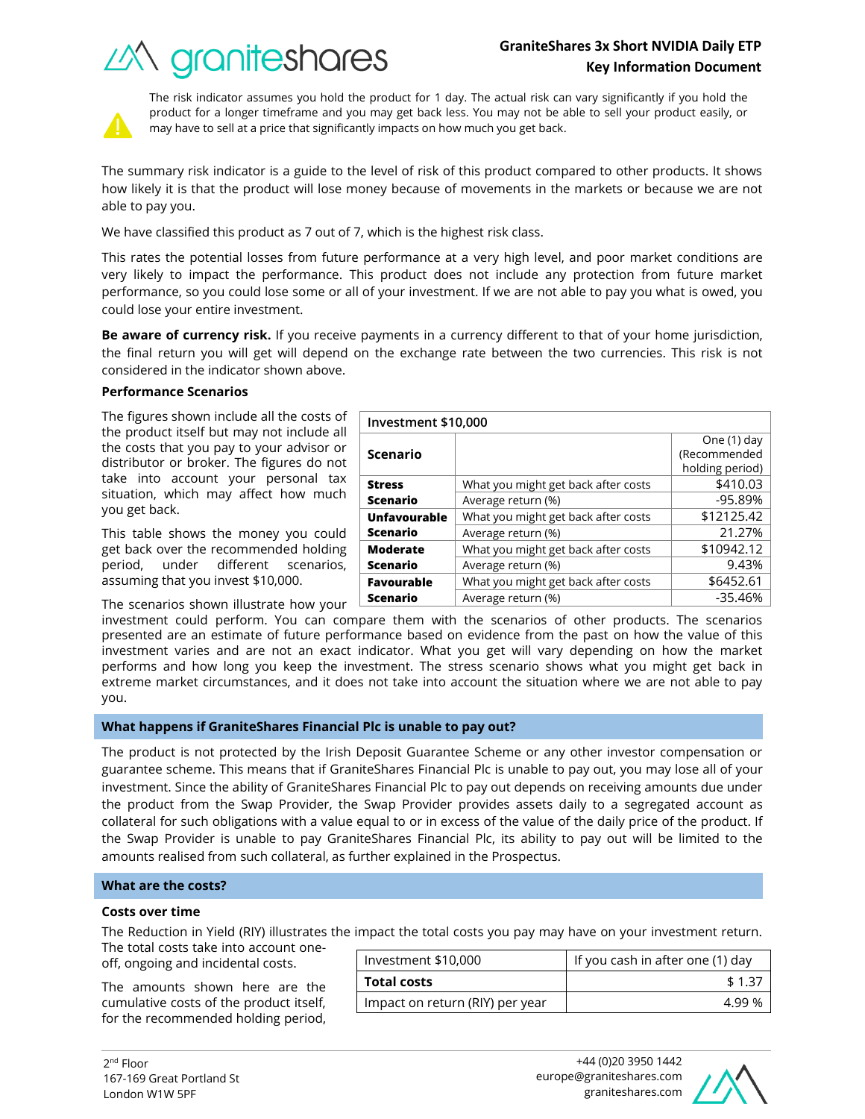# *industry of Crantes*

What you might get back after costs  $\sim$  \$410.03 Average return (%) and the set of the set of the set of the set of the set of the set of the set of the set of the set of the set of the set of the set of the set of the set of the set of the set of the set of the set of t

What you might get back after costs  $\vert$  \$12125.42 Average return (%) 21.27%

What you might get back after costs  $\vert$  \$10942.12 Average return (%) and the set of the set of the set of the set of the set of the set of the set of the set of the set of the set of the set of the set of the set of the set of the set of the set of the set of the set of t



The risk indicator assumes you hold the product for 1 day. The actual risk can vary significantly if you hold the product for a longer timeframe and you may get back less. You may not be able to sell your product easily, or may have to sell at a price that significantly impacts on how much you get back.

The summary risk indicator is a guide to the level of risk of this product compared to other products. It shows how likely it is that the product will lose money because of movements in the markets or because we are not able to pay you.

We have classified this product as 7 out of 7, which is the highest risk class.

This rates the potential losses from future performance at a very high level, and poor market conditions are very likely to impact the performance. This product does not include any protection from future market performance, so you could lose some or all of your investment. If we are not able to pay you what is owed, you could lose your entire investment.

**Be aware of currency risk.** If you receive payments in a currency different to that of your home jurisdiction, the final return you will get will depend on the exchange rate between the two currencies. This risk is not considered in the indicator shown above.

**Investment \$10,000**

**Scenario**

**Unfavourable Scenario**

**Moderate Scenario**

**Favourable** 

**Stress Scenario**

# **Performance Scenarios**

The figures shown include all the costs of the product itself but may not include all the costs that you pay to your advisor or distributor or broker. The figures do not take into account your personal tax situation, which may affect how much you get back.

This table shows the money you could get back over the recommended holding period, under different scenarios, assuming that you invest \$10,000.

The scenarios shown illustrate how your

investment could perform. You can compare them with the scenarios of other products. The scenarios presented are an estimate of future performance based on evidence from the past on how the value of this investment varies and are not an exact indicator. What you get will vary depending on how the market performs and how long you keep the investment. The stress scenario shows what you might get back in extreme market circumstances, and it does not take into account the situation where we are not able to pay you. **Scenario** What you might get back after costs  $\sim$  \$6452.61 Average return (%)  $-35.46\%$ 

# **What happens if GraniteShares Financial Plc is unable to pay out?**

The product is not protected by the Irish Deposit Guarantee Scheme or any other investor compensation or guarantee scheme. This means that if GraniteShares Financial Plc is unable to pay out, you may lose all of your investment. Since the ability of GraniteShares Financial Plc to pay out depends on receiving amounts due under the product from the Swap Provider, the Swap Provider provides assets daily to a segregated account as collateral for such obligations with a value equal to or in excess of the value of the daily price of the product. If the Swap Provider is unable to pay GraniteShares Financial Plc, its ability to pay out will be limited to the amounts realised from such collateral, as further explained in the Prospectus.

## **What are the costs?**

## **Costs over time**

The Reduction in Yield (RIY) illustrates the impact the total costs you pay may have on your investment return.

The total costs take into account oneoff, ongoing and incidental costs.

The amounts shown here are the cumulative costs of the product itself, for the recommended holding period,

|                    | Investment \$10,000             | If you cash in after one (1) day |  |
|--------------------|---------------------------------|----------------------------------|--|
| <b>Total costs</b> |                                 | \$1.37                           |  |
|                    | Impact on return (RIY) per year | 4 99 %                           |  |



One (1) day (Recommended holding period)